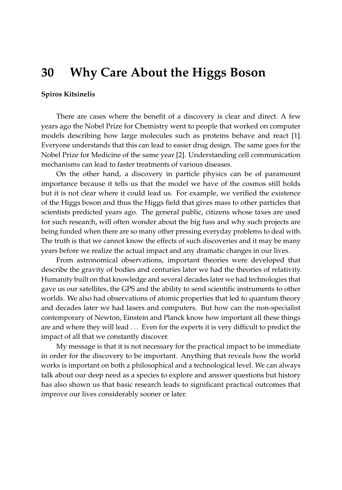## **30 Why Care About the Higgs Boson**

## **Spiros Kitsinelis**

There are cases where the benefit of a discovery is clear and direct. A few years ago the Nobel Prize for Chemistry went to people that worked on computer models describing how large molecules such as proteins behave and react [\[1\]](#page-1-0). Everyone understands that this can lead to easier drug design. The same goes for the Nobel Prize for Medicine of the same year [\[2\]](#page-1-1). Understanding cell communication mechanisms can lead to faster treatments of various diseases.

On the other hand, a discovery in particle physics can be of paramount importance because it tells us that the model we have of the cosmos still holds but it is not clear where it could lead us. For example, we verified the existence of the Higgs boson and thus the Higgs field that gives mass to other particles that scientists predicted years ago. The general public, citizens whose taxes are used for such research, will often wonder about the big fuss and why such projects are being funded when there are so many other pressing everyday problems to deal with. The truth is that we cannot know the effects of such discoveries and it may be many years before we realize the actual impact and any dramatic changes in our lives.

From astronomical observations, important theories were developed that describe the gravity of bodies and centuries later we had the theories of relativity. Humanity built on that knowledge and several decades later we had technologies that gave us our satellites, the GPS and the ability to send scientific instruments to other worlds. We also had observations of atomic properties that led to quantum theory and decades later we had lasers and computers. But how can the non-specialist contemporary of Newton, Einstein and Planck know how important all these things are and where they will lead . . . Even for the experts it is very difficult to predict the impact of all that we constantly discover.

My message is that it is not necessary for the practical impact to be immediate in order for the discovery to be important. Anything that reveals how the world works is important on both a philosophical and a technological level. We can always talk about our deep need as a species to explore and answer questions but history has also shown us that basic research leads to significant practical outcomes that improve our lives considerably sooner or later.